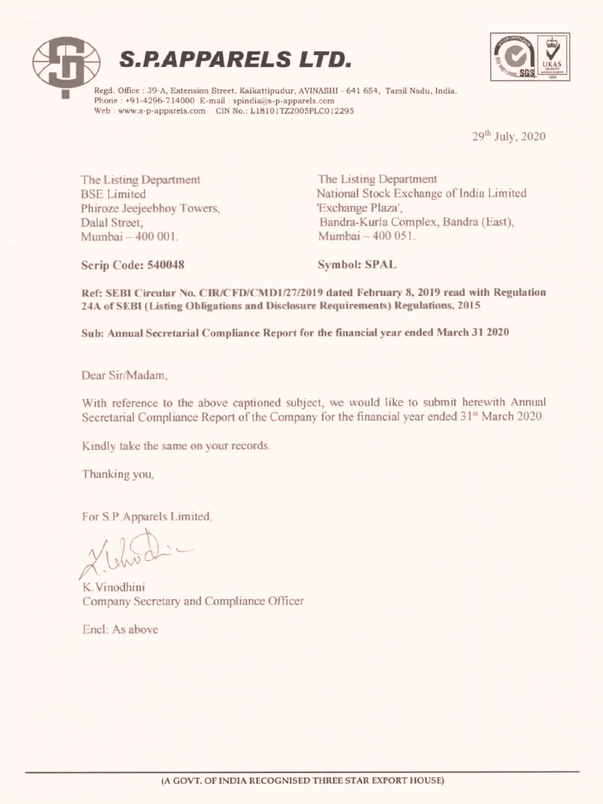





Regd. Office : 39-A, Extension Street, Kaikattipudur, AVINASHI - 641 654, Tamil Nadu, India.<br>Phone : +91-4296-714000 E-mail : spindia@s-p-apparels.com<br>Web : www.s-p-apparels.com CIN No.: L18101TZ2005PLC012295

29" July, 2020

The Listing Department The Listing Department Phiroze Jeejeebhoy Towers, 'Exchange Plaza', Mumbai— <sup>400</sup> 001. Mumbai — <sup>400</sup> <sup>051</sup>

BSE Limited National Stock Exchange of India Limited Dalal Street, Bandra-Kurla Complex, Bandra (East), **S.P.A.PPARELS LTD.**<br>
Angl. Gives 1994 Benevia these folders in the comparison contains of the star mail Note, hem.<br>
We will be a star of the comparison of the comparison of the contained and the comparison of the compari

Scrip Code: 540048 Symbol: SPAL

Ref: SEBI Circular No. CIR/CFD/CMD1/27/2019 dated February 8, 2019 read with Regulation 24A of SEBI(Listing Obligations and Disclosure Requirements) Regulations, 2015

Sub: AnnualSecretarial Compliance Report for the financial year ended March 31 2020

Dear Sir/Madam,

With reference to the above captioned subject, we would like to submit herewith Annual Secretarial Compliance Report of the Company for the financial year ended 31<sup>st</sup> March 2020.

Kindly take the same on your records.

Thanking you,

For S.P. Apparels Limited,

 $x$  throad:

K. Vinodhini Company Secretary and Compliance Officer

Encl: As above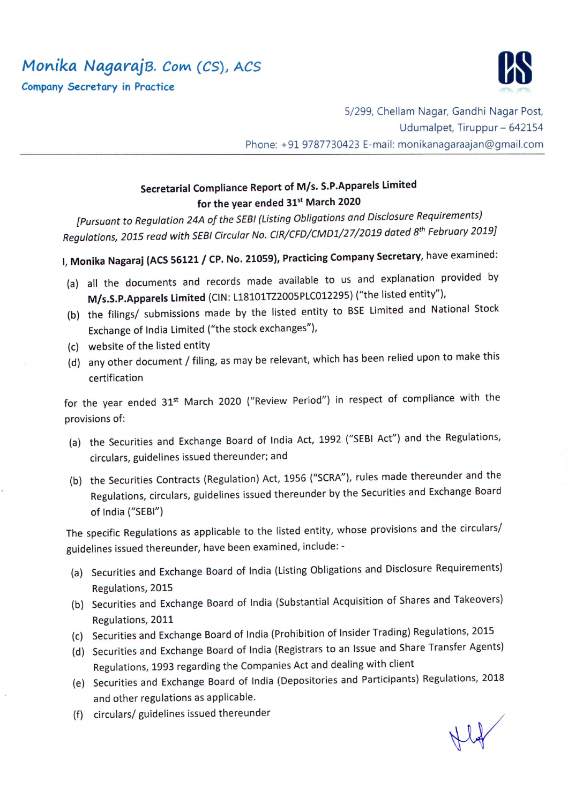Monika NagarajB. Com (CS), ACS



Company Secretary in Practice

5/299, Chellam Nagar, Gandhi Nagar Post, Udumalpet, Tiruppur — 642154 Phone: +91 9787730423 E-mail: monikanagaraajan@gmail.com

## Secretarial Compliance Report of M/s. S.P.Apparels Limited for the year ended 31st March 2020

[Pursuant to Regulation 24A of the SEBI (Listing Obligations and Disclosure Requirements) Regulations, 2015 read with SEBI Circular No. CIR/CFD/CMD1/27/2019 dated 8<sup>th</sup> February 2019]

I, Monika Nagaraj (ACS 56121 / CP. No. 21059), Practicing Company Secretary, have examined:

- (a) all the documents and records made available to us and explanation provided by M/s.S.P.Apparels Limited (CIN: L18101TZ2005PLC012295) ("the listed entity"),
- (b) the filings/ submissions made by the listed entity to BSE Limited and National Stock Exchange of India Limited ("the stock exchanges"),
- (c) website of the listed entity
- (d) any other document / filing, as may be relevant, which has been relied upon to make this certification

for the year ended 31<sup>st</sup> March 2020 ("Review Period") in respect of compliance with the provisions of:

- (a) the Securities and Exchange Board of India Act, <sup>1992</sup> ("SEBI Act") and the Regulations, circulars, guidelines issued thereunder; and
- (b) the Securities Contracts (Regulation) Act, <sup>1956</sup> ("SCRA"), rules made thereunder and the Regulations, circulars, guidelines issued thereunder by the Securities and Exchange Board of India ("SEBI")

The specific Regulations as applicable to the listed entity, whose provisions and the circulars/ guidelines issued thereunder, have been examined, include: -

- (a) Securities and Exchange Board of India (Listing Obligations and Disclosure Requirements) Regulations, 2015
- (b) Securities and Exchange Board of India (Substantial Acquisition of Shares and Takeovers) Regulations, 2011
- (c) Securities and Exchange Board of India (Prohibition of Insider Trading) Regulations, 2015
- (d) Securities and Exchange Board of India (Registrars to an Issue and Share Transfer Agents) Regulations, 1993 regarding the Companies Act and dealing with client
- (e) Securities and Exchange Board of India (Depositories and Participants) Regulations, <sup>2018</sup> and other regulations as applicable.<br>circulars/ guidelines issued thereunder<br> $\bigcup_{\alpha} \bigcup_{\alpha} \bigcup_{\alpha} \bigcup_{\alpha} \bigcup_{\alpha} \bigcup_{\alpha} \bigcup_{\alpha} \bigcup_{\alpha} \bigcup_{\alpha} \bigcup_{\alpha} \bigcup_{\alpha} \bigcup_{\alpha} \bigcup_{\alpha} \bigcup_{\alpha} \bigcup_{\alpha} \bigcup_{\alpha} \bigcup_{\alpha} \bigcup_{\alpha} \bigcup_{\alpha} \bigcup_{\alpha} \bigcup$
- (f) circulars/ guidelines issued thereunder